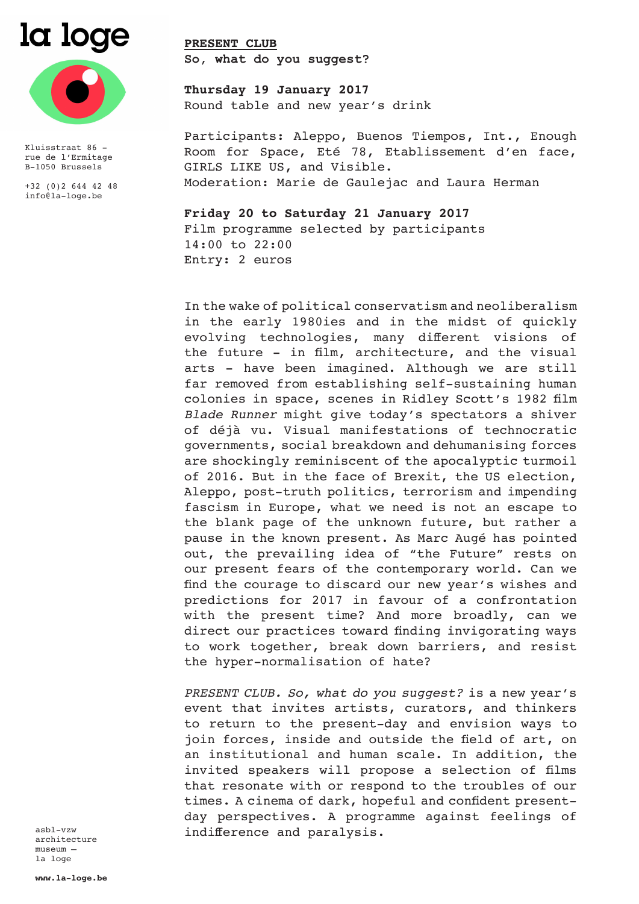



Kluisstraat 86 rue de l'Ermitage B-1050 Brussels

+32 (0)2 644 42 48 info@la-loge.be

### **PRESENT CLUB**

**So, what do you suggest?**

**Thursday 19 January 2017** Round table and new year's drink

Participants: Aleppo, Buenos Tiempos, Int., Enough Room for Space, Eté 78, Etablissement d'en face, GIRLS LIKE US, and Visible. Moderation: Marie de Gaulejac and Laura Herman

#### **Friday 20 to Saturday 21 January 2017**

Film programme selected by participants 14:00 to 22:00 Entry: 2 euros

In the wake of political conservatism and neoliberalism in the early 1980ies and in the midst of quickly evolving technologies, many different visions of the future - in film, architecture, and the visual arts - have been imagined. Although we are still far removed from establishing self-sustaining human colonies in space, scenes in Ridley Scott's 1982 film *Blade Runner* might give today's spectators a shiver of déjà vu. Visual manifestations of technocratic governments, social breakdown and dehumanising forces are shockingly reminiscent of the apocalyptic turmoil of 2016. But in the face of Brexit, the US election, Aleppo, post-truth politics, terrorism and impending fascism in Europe, what we need is not an escape to the blank page of the unknown future, but rather a pause in the known present. As Marc Augé has pointed out, the prevailing idea of "the Future" rests on our present fears of the contemporary world. Can we find the courage to discard our new year's wishes and predictions for 2017 in favour of a confrontation with the present time? And more broadly, can we direct our practices toward finding invigorating ways to work together, break down barriers, and resist the hyper-normalisation of hate?

*PRESENT CLUB. So, what do you suggest?* is a new year's event that invites artists, curators, and thinkers to return to the present-day and envision ways to join forces, inside and outside the field of art, on an institutional and human scale. In addition, the invited speakers will propose a selection of films that resonate with or respond to the troubles of our times. A cinema of dark, hopeful and confident presentday perspectives. A programme against feelings of indifference and paralysis.

asbl-vzw architecture museum – la loge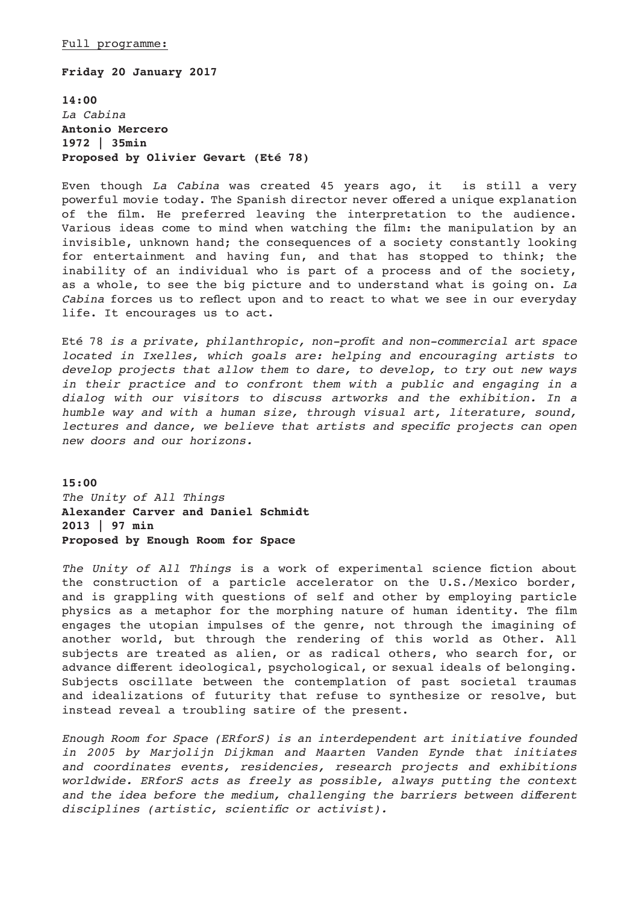**Friday 20 January 2017**

**14:00**  *La Cabina* **Antonio Mercero 1972 | 35min Proposed by Olivier Gevart (Eté 78)**

Even though *La Cabina* was created 45 years ago, it is still a very powerful movie today. The Spanish director never offered a unique explanation of the film. He preferred leaving the interpretation to the audience. Various ideas come to mind when watching the film: the manipulation by an invisible, unknown hand; the consequences of a society constantly looking for entertainment and having fun, and that has stopped to think; the inability of an individual who is part of a process and of the society, as a whole, to see the big picture and to understand what is going on. *La Cabina* forces us to reflect upon and to react to what we see in our everyday life. It encourages us to act.

Eté 78 *is a private, philanthropic, non-profit and non-commercial art space located in Ixelles, which goals are: helping and encouraging artists to develop projects that allow them to dare, to develop, to try out new ways in their practice and to confront them with a public and engaging in a dialog with our visitors to discuss artworks and the exhibition. In a humble way and with a human size, through visual art, literature, sound, lectures and dance, we believe that artists and specific projects can open new doors and our horizons.*

**15:00**  *The Unity of All Things* **Alexander Carver and Daniel Schmidt 2013 | 97 min Proposed by Enough Room for Space**

*The Unity of All Things* is a work of experimental science fiction about the construction of a particle accelerator on the U.S./Mexico border, and is grappling with questions of self and other by employing particle physics as a metaphor for the morphing nature of human identity. The film engages the utopian impulses of the genre, not through the imagining of another world, but through the rendering of this world as Other. All subjects are treated as alien, or as radical others, who search for, or advance different ideological, psychological, or sexual ideals of belonging. Subjects oscillate between the contemplation of past societal traumas and idealizations of futurity that refuse to synthesize or resolve, but instead reveal a troubling satire of the present.

*Enough Room for Space (ERforS) is an interdependent art initiative founded in 2005 by Marjolijn Dijkman and Maarten Vanden Eynde that initiates and coordinates events, residencies, research projects and exhibitions worldwide. ERforS acts as freely as possible, always putting the context and the idea before the medium, challenging the barriers between different disciplines (artistic, scientific or activist).*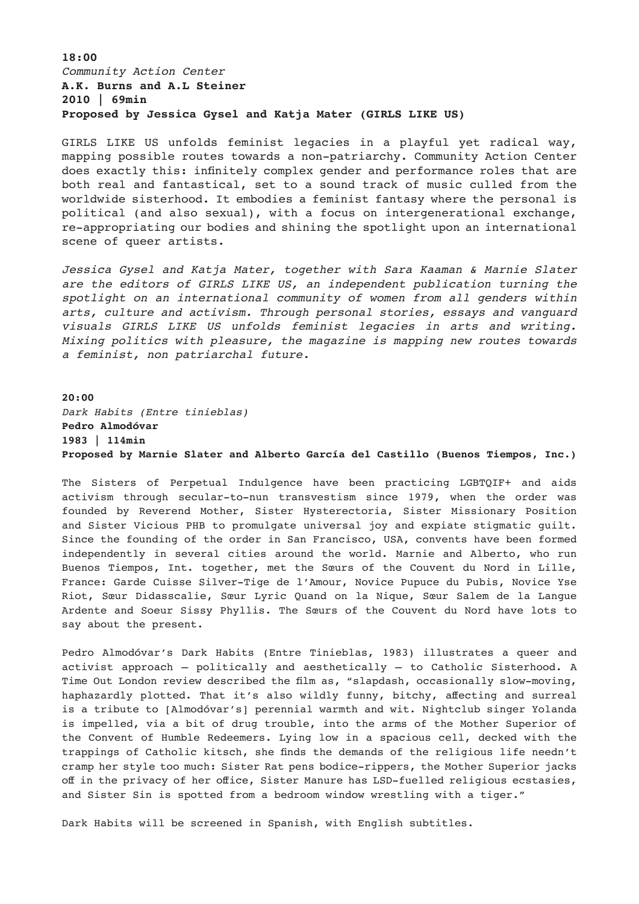# **18:00**  *Community Action Center* **A.K. Burns and A.L Steiner 2010 | 69min Proposed by Jessica Gysel and Katja Mater (GIRLS LIKE US)**

GIRLS LIKE US unfolds feminist legacies in a playful yet radical way, mapping possible routes towards a non-patriarchy. Community Action Center does exactly this: infinitely complex gender and performance roles that are both real and fantastical, set to a sound track of music culled from the worldwide sisterhood. It embodies a feminist fantasy where the personal is political (and also sexual), with a focus on intergenerational exchange, re-appropriating our bodies and shining the spotlight upon an international scene of queer artists.

*Jessica Gysel and Katja Mater, together with Sara Kaaman & Marnie Slater are the editors of GIRLS LIKE US, an independent publication turning the spotlight on an international community of women from all genders within arts, culture and activism. Through personal stories, essays and vanguard visuals GIRLS LIKE US unfolds feminist legacies in arts and writing. Mixing politics with pleasure, the magazine is mapping new routes towards a feminist, non patriarchal future.*

**20:00**  *Dark Habits (Entre tinieblas)* **Pedro Almodóvar 1983 | 114min Proposed by Marnie Slater and Alberto García del Castillo (Buenos Tiempos, Inc.)**

The Sisters of Perpetual Indulgence have been practicing LGBTQIF+ and aids activism through secular-to-nun transvestism since 1979, when the order was founded by Reverend Mother, Sister Hysterectoria, Sister Missionary Position and Sister Vicious PHB to promulgate universal joy and expiate stigmatic guilt. Since the founding of the order in San Francisco, USA, convents have been formed independently in several cities around the world. Marnie and Alberto, who run Buenos Tiempos, Int. together, met the Sœurs of the Couvent du Nord in Lille, France: Garde Cuisse Silver-Tige de l'Amour, Novice Pupuce du Pubis, Novice Yse Riot, Sœur Didasscalie, Sœur Lyric Quand on la Nique, Sœur Salem de la Langue Ardente and Soeur Sissy Phyllis. The Sœurs of the Couvent du Nord have lots to say about the present.

Pedro Almodóvar's Dark Habits (Entre Tinieblas, 1983) illustrates a queer and activist approach – politically and aesthetically – to Catholic Sisterhood. A Time Out London review described the film as, "slapdash, occasionally slow-moving, haphazardly plotted. That it's also wildly funny, bitchy, affecting and surreal is a tribute to [Almodóvar's] perennial warmth and wit. Nightclub singer Yolanda is impelled, via a bit of drug trouble, into the arms of the Mother Superior of the Convent of Humble Redeemers. Lying low in a spacious cell, decked with the trappings of Catholic kitsch, she finds the demands of the religious life needn't cramp her style too much: Sister Rat pens bodice-rippers, the Mother Superior jacks off in the privacy of her office, Sister Manure has LSD-fuelled religious ecstasies, and Sister Sin is spotted from a bedroom window wrestling with a tiger."

Dark Habits will be screened in Spanish, with English subtitles.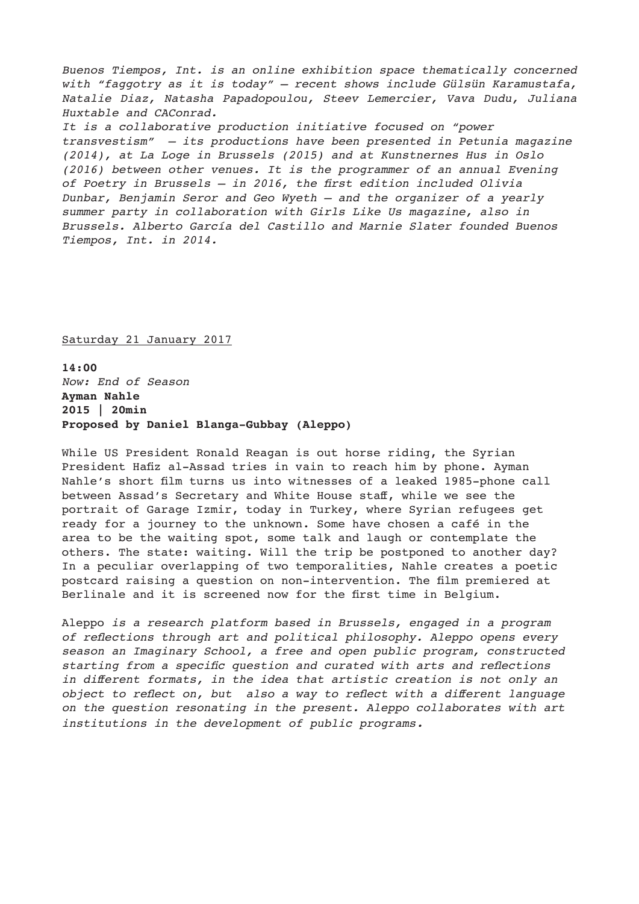*Buenos Tiempos, Int. is an online exhibition space thematically concerned with "faggotry as it is today" – recent shows include Gülsün Karamustafa, Natalie Diaz, Natasha Papadopoulou, Steev Lemercier, Vava Dudu, Juliana Huxtable and CAConrad. It is a collaborative production initiative focused on "power* 

*transvestism" – its productions have been presented in Petunia magazine (2014), at La Loge in Brussels (2015) and at Kunstnernes Hus in Oslo (2016) between other venues. It is the programmer of an annual Evening of Poetry in Brussels – in 2016, the first edition included Olivia Dunbar, Benjamin Seror and Geo Wyeth – and the organizer of a yearly summer party in collaboration with Girls Like Us magazine, also in Brussels. Alberto García del Castillo and Marnie Slater founded Buenos Tiempos, Int. in 2014.*

Saturday 21 January 2017

**14:00**  *Now: End of Season* **Ayman Nahle 2015 | 20min Proposed by Daniel Blanga-Gubbay (Aleppo)**

While US President Ronald Reagan is out horse riding, the Syrian President Hafiz al-Assad tries in vain to reach him by phone. Ayman Nahle's short film turns us into witnesses of a leaked 1985-phone call between Assad's Secretary and White House staff, while we see the portrait of Garage Izmir, today in Turkey, where Syrian refugees get ready for a journey to the unknown. Some have chosen a café in the area to be the waiting spot, some talk and laugh or contemplate the others. The state: waiting. Will the trip be postponed to another day? In a peculiar overlapping of two temporalities, Nahle creates a poetic postcard raising a question on non-intervention. The film premiered at Berlinale and it is screened now for the first time in Belgium.

Aleppo *is a research platform based in Brussels, engaged in a program of reflections through art and political philosophy. Aleppo opens every season an Imaginary School, a free and open public program, constructed starting from a specific question and curated with arts and reflections in different formats, in the idea that artistic creation is not only an object to reflect on, but also a way to reflect with a different language on the question resonating in the present. Aleppo collaborates with art institutions in the development of public programs.*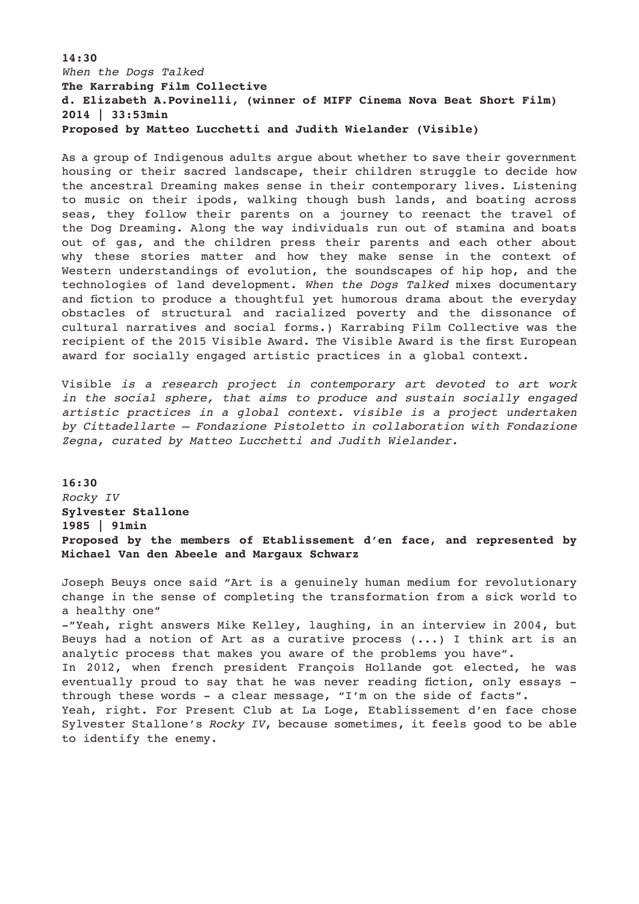# **14:30** *When the Dogs Talked*  **The Karrabing Film Collective d. Elizabeth A.Povinelli, (winner of MIFF Cinema Nova Beat Short Film) 2014 | 33:53min Proposed by Matteo Lucchetti and Judith Wielander (Visible)**

As a group of Indigenous adults argue about whether to save their government housing or their sacred landscape, their children struggle to decide how the ancestral Dreaming makes sense in their contemporary lives. Listening to music on their ipods, walking though bush lands, and boating across seas, they follow their parents on a journey to reenact the travel of the Dog Dreaming. Along the way individuals run out of stamina and boats out of gas, and the children press their parents and each other about why these stories matter and how they make sense in the context of Western understandings of evolution, the soundscapes of hip hop, and the technologies of land development. *When the Dogs Talked* mixes documentary and fiction to produce a thoughtful yet humorous drama about the everyday obstacles of structural and racialized poverty and the dissonance of cultural narratives and social forms.) Karrabing Film Collective was the recipient of the 2015 Visible Award. The Visible Award is the first European award for socially engaged artistic practices in a global context.

Visible *is a research project in contemporary art devoted to art work in the social sphere, that aims to produce and sustain socially engaged artistic practices in a global context. visible is a project undertaken by Cittadellarte – Fondazione Pistoletto in collaboration with Fondazione Zegna, curated by Matteo Lucchetti and Judith Wielander.*

**16:30**  *Rocky IV*  **Sylvester Stallone 1985 | 91min Proposed by the members of Etablissement d'en face, and represented by Michael Van den Abeele and Margaux Schwarz** 

Joseph Beuys once said "Art is a genuinely human medium for revolutionary change in the sense of completing the transformation from a sick world to a healthy one" -"Yeah, right answers Mike Kelley, laughing, in an interview in 2004, but Beuys had a notion of Art as a curative process (...) I think art is an analytic process that makes you aware of the problems you have". In 2012, when french president François Hollande got elected, he was eventually proud to say that he was never reading fiction, only essays through these words - a clear message, "I'm on the side of facts". Yeah, right. For Present Club at La Loge, Etablissement d'en face chose Sylvester Stallone's *Rocky IV*, because sometimes, it feels good to be able to identify the enemy.